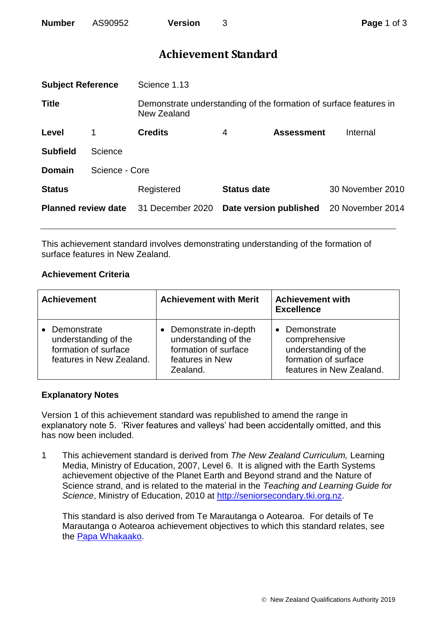| <b>Number</b> | AS90952 | <b>Version</b> |  |
|---------------|---------|----------------|--|
|               |         |                |  |

# **Achievement Standard**

| <b>Subject Reference</b>   |         | Science 1.13                                                                     |                    |                        |                  |  |
|----------------------------|---------|----------------------------------------------------------------------------------|--------------------|------------------------|------------------|--|
| <b>Title</b>               |         | Demonstrate understanding of the formation of surface features in<br>New Zealand |                    |                        |                  |  |
| Level                      | 1       | <b>Credits</b>                                                                   | 4                  | <b>Assessment</b>      | Internal         |  |
| <b>Subfield</b>            | Science |                                                                                  |                    |                        |                  |  |
| <b>Domain</b>              |         | Science - Core                                                                   |                    |                        |                  |  |
| <b>Status</b>              |         | Registered                                                                       | <b>Status date</b> |                        | 30 November 2010 |  |
| <b>Planned review date</b> |         | 31 December 2020                                                                 |                    | Date version published | 20 November 2014 |  |
|                            |         |                                                                                  |                    |                        |                  |  |

This achievement standard involves demonstrating understanding of the formation of surface features in New Zealand.

## **Achievement Criteria**

| <b>Achievement</b>                                                                      | <b>Achievement with Merit</b>                                                                                    | <b>Achievement with</b><br><b>Excellence</b>                                                                          |  |
|-----------------------------------------------------------------------------------------|------------------------------------------------------------------------------------------------------------------|-----------------------------------------------------------------------------------------------------------------------|--|
| Demonstrate<br>understanding of the<br>formation of surface<br>features in New Zealand. | Demonstrate in-depth<br>$\bullet$<br>understanding of the<br>formation of surface<br>features in New<br>Zealand. | Demonstrate<br>$\bullet$<br>comprehensive<br>understanding of the<br>formation of surface<br>features in New Zealand. |  |

## **Explanatory Notes**

Version 1 of this achievement standard was republished to amend the range in explanatory note 5. 'River features and valleys' had been accidentally omitted, and this has now been included.

1 This achievement standard is derived from *The New Zealand Curriculum,* Learning Media, Ministry of Education, 2007, Level 6. It is aligned with the Earth Systems achievement objective of the Planet Earth and Beyond strand and the Nature of Science strand, and is related to the material in the *Teaching and Learning Guide for Science*, Ministry of Education, 2010 at [http://seniorsecondary.tki.org.nz.](http://seniorsecondary.tki.org.nz/)

This standard is also derived from Te Marautanga o Aotearoa. For details of Te Marautanga o Aotearoa achievement objectives to which this standard relates, see the [Papa Whakaako.](http://tmoa.tki.org.nz/Te-Marautanga-o-Aotearoa/Taumata-Matauranga-a-Motu-Ka-Taea)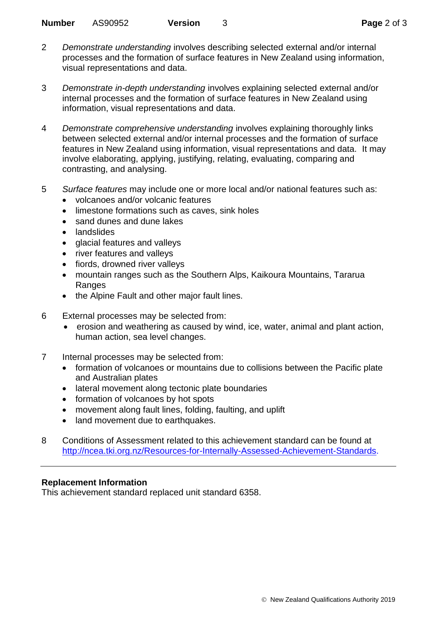- 2 *Demonstrate understanding* involves describing selected external and/or internal processes and the formation of surface features in New Zealand using information, visual representations and data.
- 3 *Demonstrate in-depth understanding* involves explaining selected external and/or internal processes and the formation of surface features in New Zealand using information, visual representations and data.
- 4 *Demonstrate comprehensive understanding* involves explaining thoroughly links between selected external and/or internal processes and the formation of surface features in New Zealand using information, visual representations and data. It may involve elaborating, applying, justifying, relating, evaluating, comparing and contrasting, and analysing.
- 5 *Surface features* may include one or more local and/or national features such as:
	- volcanoes and/or volcanic features
	- limestone formations such as caves, sink holes
	- sand dunes and dune lakes
	- landslides
	- glacial features and valleys
	- river features and valleys
	- fiords, drowned river valleys
	- mountain ranges such as the Southern Alps, Kaikoura Mountains, Tararua **Ranges**
	- the Alpine Fault and other major fault lines.
- 6 External processes may be selected from:
	- erosion and weathering as caused by wind, ice, water, animal and plant action, human action, sea level changes.
- 7 Internal processes may be selected from:
	- formation of volcanoes or mountains due to collisions between the Pacific plate and Australian plates
	- lateral movement along tectonic plate boundaries
	- formation of volcanoes by hot spots
	- movement along fault lines, folding, faulting, and uplift
	- land movement due to earthquakes.
- 8 Conditions of Assessment related to this achievement standard can be found at [http://ncea.tki.org.nz/Resources-for-Internally-Assessed-Achievement-Standards.](http://ncea.tki.org.nz/Resources-for-Internally-Assessed-Achievement-Standards)

## **Replacement Information**

This achievement standard replaced unit standard 6358.